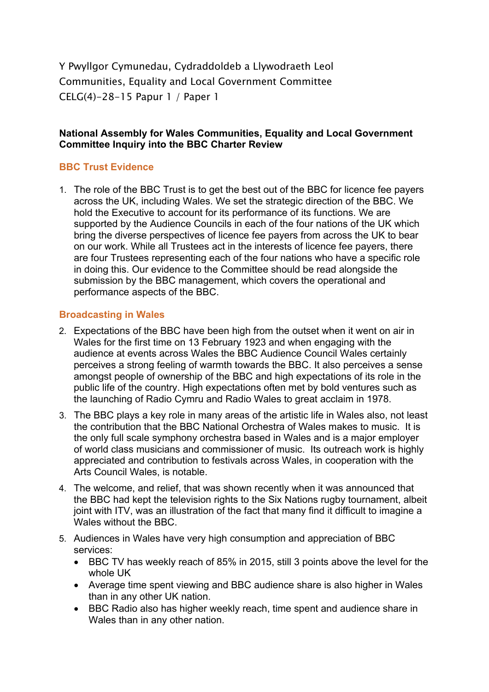Y Pwyllgor Cymunedau, Cydraddoldeb a Llywodraeth Leol Communities, Equality and Local Government Committee CELG(4)-28-15 Papur 1 / Paper 1

## **National Assembly for Wales Communities, Equality and Local Government Committee Inquiry into the BBC Charter Review**

## **BBC Trust Evidence**

1. The role of the BBC Trust is to get the best out of the BBC for licence fee payers across the UK, including Wales. We set the strategic direction of the BBC. We hold the Executive to account for its performance of its functions. We are supported by the Audience Councils in each of the four nations of the UK which bring the diverse perspectives of licence fee payers from across the UK to bear on our work. While all Trustees act in the interests of licence fee payers, there are four Trustees representing each of the four nations who have a specific role in doing this. Our evidence to the Committee should be read alongside the submission by the BBC management, which covers the operational and performance aspects of the BBC.

#### **Broadcasting in Wales**

- 2. Expectations of the BBC have been high from the outset when it went on air in Wales for the first time on 13 February 1923 and when engaging with the audience at events across Wales the BBC Audience Council Wales certainly perceives a strong feeling of warmth towards the BBC. It also perceives a sense amongst people of ownership of the BBC and high expectations of its role in the public life of the country. High expectations often met by bold ventures such as the launching of Radio Cymru and Radio Wales to great acclaim in 1978.
- 3. The BBC plays a key role in many areas of the artistic life in Wales also, not least the contribution that the BBC National Orchestra of Wales makes to music. It is the only full scale symphony orchestra based in Wales and is a major employer of world class musicians and commissioner of music. Its outreach work is highly appreciated and contribution to festivals across Wales, in cooperation with the Arts Council Wales, is notable.
- 4. The welcome, and relief, that was shown recently when it was announced that the BBC had kept the television rights to the Six Nations rugby tournament, albeit joint with ITV, was an illustration of the fact that many find it difficult to imagine a Wales without the BBC.
- 5. Audiences in Wales have very high consumption and appreciation of BBC services:
	- BBC TV has weekly reach of 85% in 2015, still 3 points above the level for the whole UK
	- Average time spent viewing and BBC audience share is also higher in Wales than in any other UK nation.
	- BBC Radio also has higher weekly reach, time spent and audience share in Wales than in any other nation.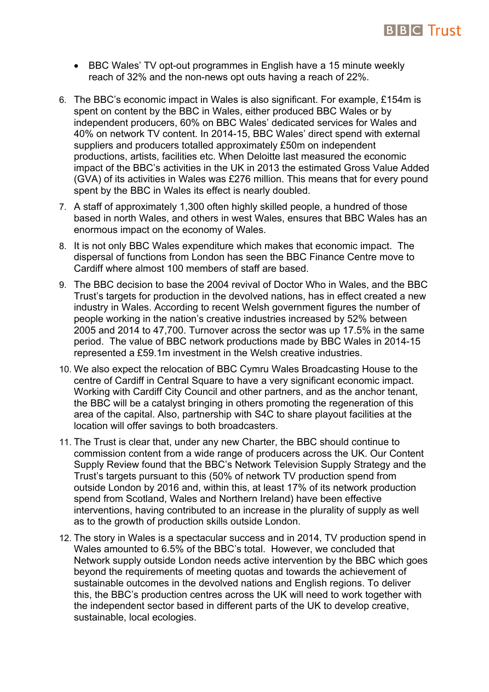

- BBC Wales' TV opt-out programmes in English have a 15 minute weekly reach of 32% and the non-news opt outs having a reach of 22%.
- 6. The BBC's economic impact in Wales is also significant. For example, £154m is spent on content by the BBC in Wales, either produced BBC Wales or by independent producers, 60% on BBC Wales' dedicated services for Wales and 40% on network TV content. In 2014-15, BBC Wales' direct spend with external suppliers and producers totalled approximately £50m on independent productions, artists, facilities etc. When Deloitte last measured the economic impact of the BBC's activities in the UK in 2013 the estimated Gross Value Added (GVA) of its activities in Wales was £276 million. This means that for every pound spent by the BBC in Wales its effect is nearly doubled.
- 7. A staff of approximately 1,300 often highly skilled people, a hundred of those based in north Wales, and others in west Wales, ensures that BBC Wales has an enormous impact on the economy of Wales.
- 8. It is not only BBC Wales expenditure which makes that economic impact. The dispersal of functions from London has seen the BBC Finance Centre move to Cardiff where almost 100 members of staff are based.
- 9. The BBC decision to base the 2004 revival of Doctor Who in Wales, and the BBC Trust's targets for production in the devolved nations, has in effect created a new industry in Wales. According to recent Welsh government figures the number of people working in the nation's creative industries increased by 52% between 2005 and 2014 to 47,700. Turnover across the sector was up 17.5% in the same period. The value of BBC network productions made by BBC Wales in 2014-15 represented a £59.1m investment in the Welsh creative industries.
- 10. We also expect the relocation of BBC Cymru Wales Broadcasting House to the centre of Cardiff in Central Square to have a very significant economic impact. Working with Cardiff City Council and other partners, and as the anchor tenant, the BBC will be a catalyst bringing in others promoting the regeneration of this area of the capital. Also, partnership with S4C to share playout facilities at the location will offer savings to both broadcasters.
- 11. The Trust is clear that, under any new Charter, the BBC should continue to commission content from a wide range of producers across the UK. Our Content Supply Review found that the BBC's Network Television Supply Strategy and the Trust's targets pursuant to this (50% of network TV production spend from outside London by 2016 and, within this, at least 17% of its network production spend from Scotland, Wales and Northern Ireland) have been effective interventions, having contributed to an increase in the plurality of supply as well as to the growth of production skills outside London.
- 12. The story in Wales is a spectacular success and in 2014, TV production spend in Wales amounted to 6.5% of the BBC's total. However, we concluded that Network supply outside London needs active intervention by the BBC which goes beyond the requirements of meeting quotas and towards the achievement of sustainable outcomes in the devolved nations and English regions. To deliver this, the BBC's production centres across the UK will need to work together with the independent sector based in different parts of the UK to develop creative, sustainable, local ecologies.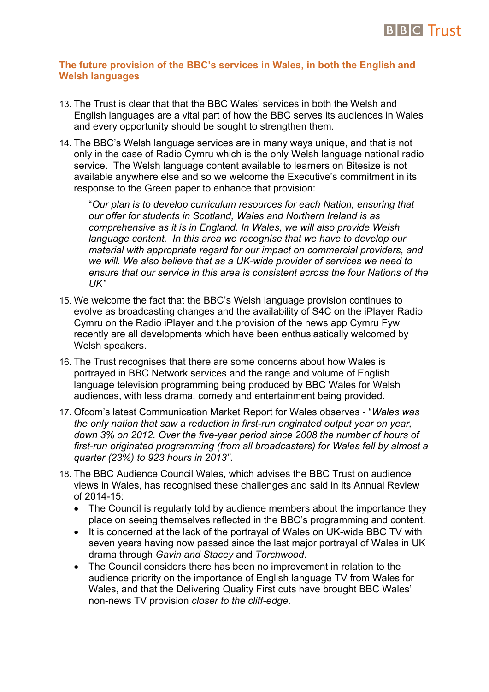

#### **The future provision of the BBC's services in Wales, in both the English and Welsh languages**

- 13. The Trust is clear that that the BBC Wales' services in both the Welsh and English languages are a vital part of how the BBC serves its audiences in Wales and every opportunity should be sought to strengthen them.
- 14. The BBC's Welsh language services are in many ways unique, and that is not only in the case of Radio Cymru which is the only Welsh language national radio service. The Welsh language content available to learners on Bitesize is not available anywhere else and so we welcome the Executive's commitment in its response to the Green paper to enhance that provision:

"*Our plan is to develop curriculum resources for each Nation, ensuring that our offer for students in Scotland, Wales and Northern Ireland is as comprehensive as it is in England. In Wales, we will also provide Welsh language content. In this area we recognise that we have to develop our material with appropriate regard for our impact on commercial providers, and we will. We also believe that as a UK-wide provider of services we need to ensure that our service in this area is consistent across the four Nations of the UK"*

- 15. We welcome the fact that the BBC's Welsh language provision continues to evolve as broadcasting changes and the availability of S4C on the iPlayer Radio Cymru on the Radio iPlayer and t.he provision of the news app Cymru Fyw recently are all developments which have been enthusiastically welcomed by Welsh speakers.
- 16. The Trust recognises that there are some concerns about how Wales is portrayed in BBC Network services and the range and volume of English language television programming being produced by BBC Wales for Welsh audiences, with less drama, comedy and entertainment being provided.
- 17. Ofcom's latest Communication Market Report for Wales observes "*Wales was the only nation that saw a reduction in first-run originated output year on year, down 3% on 2012. Over the five-year period since 2008 the number of hours of first-run originated programming (from all broadcasters) for Wales fell by almost a quarter (23%) to 923 hours in 2013"*.
- 18. The BBC Audience Council Wales, which advises the BBC Trust on audience views in Wales, has recognised these challenges and said in its Annual Review of 2014-15:
	- The Council is regularly told by audience members about the importance they place on seeing themselves reflected in the BBC's programming and content.
	- It is concerned at the lack of the portrayal of Wales on UK-wide BBC TV with seven years having now passed since the last major portrayal of Wales in UK drama through *Gavin and Stacey* and *Torchwood*.
	- The Council considers there has been no improvement in relation to the audience priority on the importance of English language TV from Wales for Wales, and that the Delivering Quality First cuts have brought BBC Wales' non-news TV provision *closer to the cliff-edge*.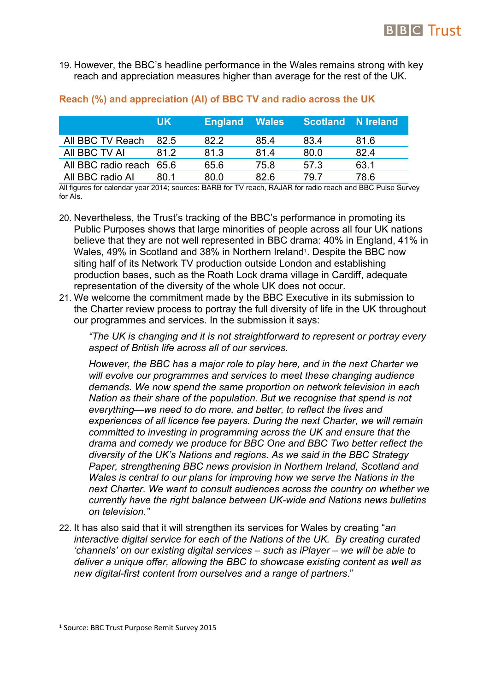

19. However, the BBC's headline performance in the Wales remains strong with key reach and appreciation measures higher than average for the rest of the UK.

|                          | UK.  | <b>England Wales</b> |      | <b>Scotland N Ireland</b> |      |
|--------------------------|------|----------------------|------|---------------------------|------|
| All BBC TV Reach         | 82.5 | 82.2                 | 85.4 | 83.4                      | 81.6 |
| All BBC TV AI            | 812  | 81.3                 | 814  | 80.0                      | 82.4 |
| All BBC radio reach 65.6 |      | 65.6                 | 75.8 | 57.3                      | 63.1 |
| All BBC radio Al         | 80 1 | 80.0                 | 82.6 | 79 7                      | 78.6 |

## **Reach (%) and appreciation (AI) of BBC TV and radio across the UK**

All figures for calendar year 2014; sources: BARB for TV reach, RAJAR for radio reach and BBC Pulse Survey for AIs.

- 20. Nevertheless, the Trust's tracking of the BBC's performance in promoting its Public Purposes shows that large minorities of people across all four UK nations believe that they are not well represented in BBC drama: 40% in England, 41% in Wales, 49% in Scotland and 38% in Northern Ireland<sup>1</sup>. Despite the BBC now siting half of its Network TV production outside London and establishing production bases, such as the Roath Lock drama village in Cardiff, adequate representation of the diversity of the whole UK does not occur.
- 21. We welcome the commitment made by the BBC Executive in its submission to the Charter review process to portray the full diversity of life in the UK throughout our programmes and services. In the submission it says:

*"The UK is changing and it is not straightforward to represent or portray every aspect of British life across all of our services.*

*However, the BBC has a major role to play here, and in the next Charter we will evolve our programmes and services to meet these changing audience demands. We now spend the same proportion on network television in each Nation as their share of the population. But we recognise that spend is not everything—we need to do more, and better, to reflect the lives and experiences of all licence fee payers. During the next Charter, we will remain committed to investing in programming across the UK and ensure that the drama and comedy we produce for BBC One and BBC Two better reflect the diversity of the UK's Nations and regions. As we said in the BBC Strategy Paper, strengthening BBC news provision in Northern Ireland, Scotland and Wales is central to our plans for improving how we serve the Nations in the next Charter. We want to consult audiences across the country on whether we currently have the right balance between UK-wide and Nations news bulletins on television."*

22. It has also said that it will strengthen its services for Wales by creating "*an interactive digital service for each of the Nations of the UK. By creating curated 'channels' on our existing digital services – such as iPlayer – we will be able to deliver a unique offer, allowing the BBC to showcase existing content as well as new digital-first content from ourselves and a range of partners*."

<sup>1</sup> Source: BBC Trust Purpose Remit Survey 2015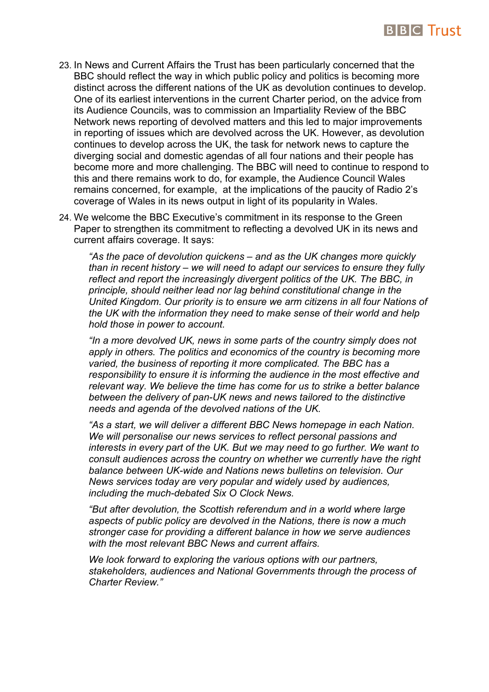

- 23. In News and Current Affairs the Trust has been particularly concerned that the BBC should reflect the way in which public policy and politics is becoming more distinct across the different nations of the UK as devolution continues to develop. One of its earliest interventions in the current Charter period, on the advice from its Audience Councils, was to commission an Impartiality Review of the BBC Network news reporting of devolved matters and this led to major improvements in reporting of issues which are devolved across the UK. However, as devolution continues to develop across the UK, the task for network news to capture the diverging social and domestic agendas of all four nations and their people has become more and more challenging. The BBC will need to continue to respond to this and there remains work to do, for example, the Audience Council Wales remains concerned, for example, at the implications of the paucity of Radio 2's coverage of Wales in its news output in light of its popularity in Wales.
- 24. We welcome the BBC Executive's commitment in its response to the Green Paper to strengthen its commitment to reflecting a devolved UK in its news and current affairs coverage. It says:

*"As the pace of devolution quickens – and as the UK changes more quickly than in recent history – we will need to adapt our services to ensure they fully reflect and report the increasingly divergent politics of the UK. The BBC, in principle, should neither lead nor lag behind constitutional change in the United Kingdom. Our priority is to ensure we arm citizens in all four Nations of the UK with the information they need to make sense of their world and help hold those in power to account.*

*"In a more devolved UK, news in some parts of the country simply does not apply in others. The politics and economics of the country is becoming more varied, the business of reporting it more complicated. The BBC has a responsibility to ensure it is informing the audience in the most effective and relevant way. We believe the time has come for us to strike a better balance between the delivery of pan-UK news and news tailored to the distinctive needs and agenda of the devolved nations of the UK.*

*"As a start, we will deliver a different BBC News homepage in each Nation. We will personalise our news services to reflect personal passions and interests in every part of the UK. But we may need to go further. We want to consult audiences across the country on whether we currently have the right balance between UK-wide and Nations news bulletins on television. Our News services today are very popular and widely used by audiences, including the much-debated Six O Clock News.*

*"But after devolution, the Scottish referendum and in a world where large aspects of public policy are devolved in the Nations, there is now a much stronger case for providing a different balance in how we serve audiences with the most relevant BBC News and current affairs.*

*We look forward to exploring the various options with our partners, stakeholders, audiences and National Governments through the process of Charter Review."*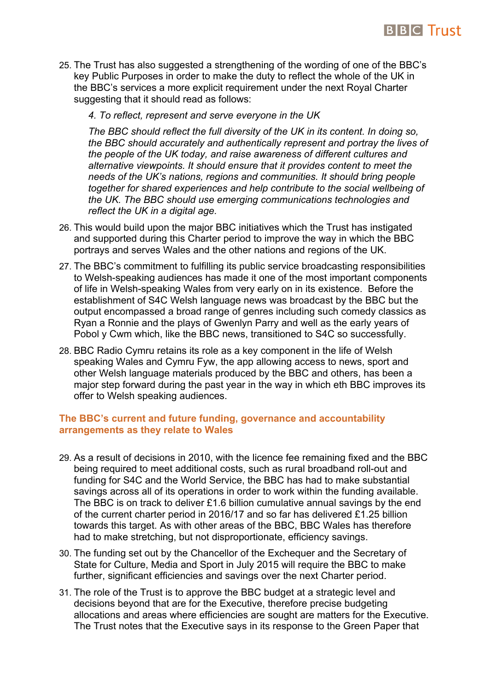

- 25. The Trust has also suggested a strengthening of the wording of one of the BBC's key Public Purposes in order to make the duty to reflect the whole of the UK in the BBC's services a more explicit requirement under the next Royal Charter suggesting that it should read as follows:
	- *4. To reflect, represent and serve everyone in the UK*

*The BBC should reflect the full diversity of the UK in its content. In doing so, the BBC should accurately and authentically represent and portray the lives of the people of the UK today, and raise awareness of different cultures and alternative viewpoints. It should ensure that it provides content to meet the needs of the UK's nations, regions and communities. It should bring people together for shared experiences and help contribute to the social wellbeing of the UK. The BBC should use emerging communications technologies and reflect the UK in a digital age.*

- 26. This would build upon the major BBC initiatives which the Trust has instigated and supported during this Charter period to improve the way in which the BBC portrays and serves Wales and the other nations and regions of the UK.
- 27. The BBC's commitment to fulfilling its public service broadcasting responsibilities to Welsh-speaking audiences has made it one of the most important components of life in Welsh-speaking Wales from very early on in its existence. Before the establishment of S4C Welsh language news was broadcast by the BBC but the output encompassed a broad range of genres including such comedy classics as Ryan a Ronnie and the plays of Gwenlyn Parry and well as the early years of Pobol y Cwm which, like the BBC news, transitioned to S4C so successfully.
- 28. BBC Radio Cymru retains its role as a key component in the life of Welsh speaking Wales and Cymru Fyw, the app allowing access to news, sport and other Welsh language materials produced by the BBC and others, has been a major step forward during the past year in the way in which eth BBC improves its offer to Welsh speaking audiences.

### **The BBC's current and future funding, governance and accountability arrangements as they relate to Wales**

- 29. As a result of decisions in 2010, with the licence fee remaining fixed and the BBC being required to meet additional costs, such as rural broadband roll-out and funding for S4C and the World Service, the BBC has had to make substantial savings across all of its operations in order to work within the funding available. The BBC is on track to deliver £1.6 billion cumulative annual savings by the end of the current charter period in 2016/17 and so far has delivered £1.25 billion towards this target. As with other areas of the BBC, BBC Wales has therefore had to make stretching, but not disproportionate, efficiency savings.
- 30. The funding set out by the Chancellor of the Exchequer and the Secretary of State for Culture, Media and Sport in July 2015 will require the BBC to make further, significant efficiencies and savings over the next Charter period.
- 31. The role of the Trust is to approve the BBC budget at a strategic level and decisions beyond that are for the Executive, therefore precise budgeting allocations and areas where efficiencies are sought are matters for the Executive. The Trust notes that the Executive says in its response to the Green Paper that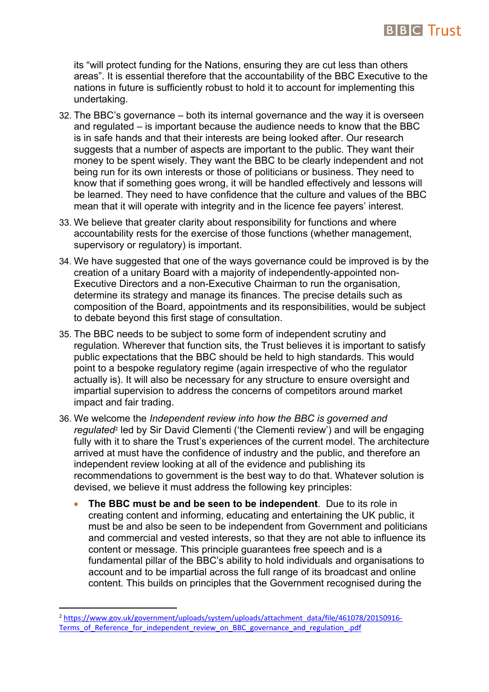

its "will protect funding for the Nations, ensuring they are cut less than others areas". It is essential therefore that the accountability of the BBC Executive to the nations in future is sufficiently robust to hold it to account for implementing this undertaking.

- 32. The BBC's governance both its internal governance and the way it is overseen and regulated – is important because the audience needs to know that the BBC is in safe hands and that their interests are being looked after. Our research suggests that a number of aspects are important to the public. They want their money to be spent wisely. They want the BBC to be clearly independent and not being run for its own interests or those of politicians or business. They need to know that if something goes wrong, it will be handled effectively and lessons will be learned. They need to have confidence that the culture and values of the BBC mean that it will operate with integrity and in the licence fee payers' interest.
- 33. We believe that greater clarity about responsibility for functions and where accountability rests for the exercise of those functions (whether management, supervisory or regulatory) is important.
- 34. We have suggested that one of the ways governance could be improved is by the creation of a unitary Board with a majority of independently-appointed non-Executive Directors and a non-Executive Chairman to run the organisation, determine its strategy and manage its finances. The precise details such as composition of the Board, appointments and its responsibilities, would be subject to debate beyond this first stage of consultation.
- 35. The BBC needs to be subject to some form of independent scrutiny and regulation. Wherever that function sits, the Trust believes it is important to satisfy public expectations that the BBC should be held to high standards. This would point to a bespoke regulatory regime (again irrespective of who the regulator actually is). It will also be necessary for any structure to ensure oversight and impartial supervision to address the concerns of competitors around market impact and fair trading.
- 36. We welcome the *Independent review into how the BBC is governed and* regulated<sup>2</sup> led by Sir David Clementi ('the Clementi review') and will be engaging fully with it to share the Trust's experiences of the current model. The architecture arrived at must have the confidence of industry and the public, and therefore an independent review looking at all of the evidence and publishing its recommendations to government is the best way to do that. Whatever solution is devised, we believe it must address the following key principles:
	- **The BBC must be and be seen to be independent**. Due to its role in creating content and informing, educating and entertaining the UK public, it must be and also be seen to be independent from Government and politicians and commercial and vested interests, so that they are not able to influence its content or message. This principle guarantees free speech and is a fundamental pillar of the BBC's ability to hold individuals and organisations to account and to be impartial across the full range of its broadcast and online content. This builds on principles that the Government recognised during the

<sup>2</sup> [https://www.gov.uk/government/uploads/system/uploads/attachment\\_data/file/461078/20150916-](https://www.gov.uk/government/uploads/system/uploads/attachment_data/file/461078/20150916-Terms_of_Reference_for_independent_review_on_BBC_governance_and_regulation_.pdf) [Terms\\_of\\_Reference\\_for\\_independent\\_review\\_on\\_BBC\\_governance\\_and\\_regulation\\_.pdf](https://www.gov.uk/government/uploads/system/uploads/attachment_data/file/461078/20150916-Terms_of_Reference_for_independent_review_on_BBC_governance_and_regulation_.pdf)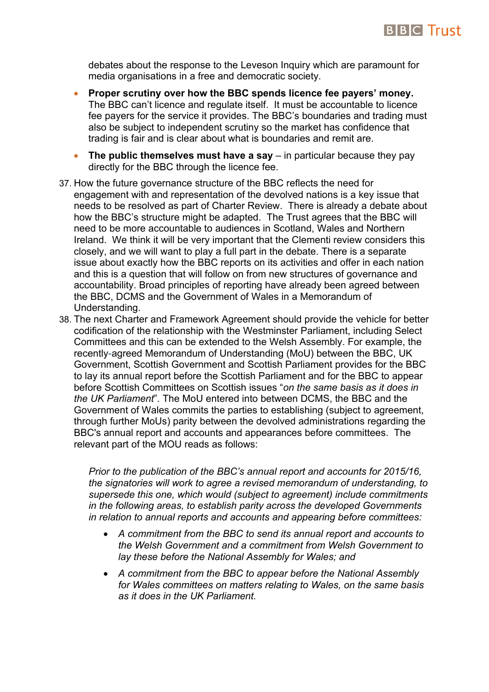

debates about the response to the Leveson Inquiry which are paramount for media organisations in a free and democratic society.

- **Proper scrutiny over how the BBC spends licence fee payers' money.**  The BBC can't licence and regulate itself. It must be accountable to licence fee payers for the service it provides. The BBC's boundaries and trading must also be subject to independent scrutiny so the market has confidence that trading is fair and is clear about what is boundaries and remit are.
- **The public themselves must have a say** in particular because they pay directly for the BBC through the licence fee.
- 37. How the future governance structure of the BBC reflects the need for engagement with and representation of the devolved nations is a key issue that needs to be resolved as part of Charter Review. There is already a debate about how the BBC's structure might be adapted. The Trust agrees that the BBC will need to be more accountable to audiences in Scotland, Wales and Northern Ireland. We think it will be very important that the Clementi review considers this closely, and we will want to play a full part in the debate. There is a separate issue about exactly how the BBC reports on its activities and offer in each nation and this is a question that will follow on from new structures of governance and accountability. Broad principles of reporting have already been agreed between the BBC, DCMS and the Government of Wales in a Memorandum of Understanding.
- 38. The next Charter and Framework Agreement should provide the vehicle for better codification of the relationship with the Westminster Parliament, including Select Committees and this can be extended to the Welsh Assembly. For example, the recently-agreed Memorandum of Understanding (MoU) between the BBC, UK Government, Scottish Government and Scottish Parliament provides for the BBC to lay its annual report before the Scottish Parliament and for the BBC to appear before Scottish Committees on Scottish issues "*on the same basis as it does in the UK Parliament*". The MoU entered into between DCMS, the BBC and the Government of Wales commits the parties to establishing (subject to agreement, through further MoUs) parity between the devolved administrations regarding the BBC's annual report and accounts and appearances before committees. The relevant part of the MOU reads as follows:

*Prior to the publication of the BBC's annual report and accounts for 2015/16, the signatories will work to agree a revised memorandum of understanding, to supersede this one, which would (subject to agreement) include commitments in the following areas, to establish parity across the developed Governments in relation to annual reports and accounts and appearing before committees:*

- *A commitment from the BBC to send its annual report and accounts to the Welsh Government and a commitment from Welsh Government to lay these before the National Assembly for Wales; and*
- *A commitment from the BBC to appear before the National Assembly for Wales committees on matters relating to Wales, on the same basis as it does in the UK Parliament.*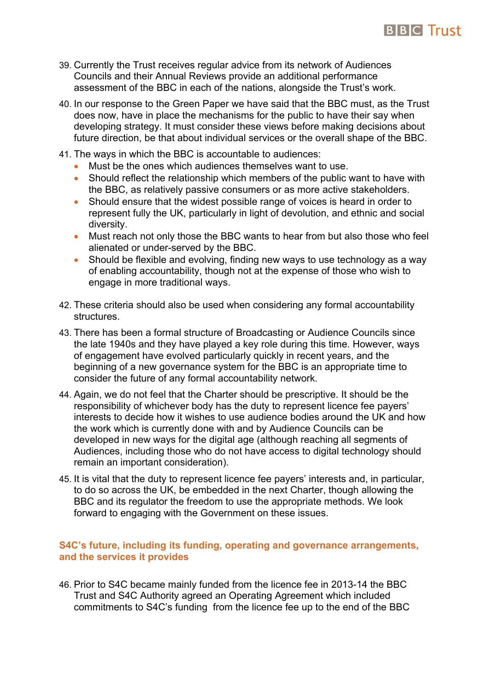# **BIBIC Trust**

- 39. Currently the Trust receives regular advice from its network of Audiences Councils and their Annual Reviews provide an additional performance assessment of the BBC in each of the nations, alongside the Trust's work.
- 40. In our response to the Green Paper we have said that the BBC must, as the Trust does now, have in place the mechanisms for the public to have their say when developing strategy. It must consider these views before making decisions about future direction, be that about individual services or the overall shape of the BBC.
- 41. The ways in which the BBC is accountable to audiences:
	- Must be the ones which audiences themselves want to use.
	- Should reflect the relationship which members of the public want to have with the BBC, as relatively passive consumers or as more active stakeholders.
	- Should ensure that the widest possible range of voices is heard in order to represent fully the UK, particularly in light of devolution, and ethnic and social diversity.
	- Must reach not only those the BBC wants to hear from but also those who feel alienated or under-served by the BBC.
	- Should be flexible and evolving, finding new ways to use technology as a way of enabling accountability, though not at the expense of those who wish to engage in more traditional ways.
- 42. These criteria should also be used when considering any formal accountability structures.
- 43. There has been a formal structure of Broadcasting or Audience Councils since the late 1940s and they have played a key role during this time. However, ways of engagement have evolved particularly quickly in recent years, and the beginning of a new governance system for the BBC is an appropriate time to consider the future of any formal accountability network.
- 44. Again, we do not feel that the Charter should be prescriptive. It should be the responsibility of whichever body has the duty to represent licence fee payers' interests to decide how it wishes to use audience bodies around the UK and how the work which is currently done with and by Audience Councils can be developed in new ways for the digital age (although reaching all segments of Audiences, including those who do not have access to digital technology should remain an important consideration).
- 45. It is vital that the duty to represent licence fee payers' interests and, in particular, to do so across the UK, be embedded in the next Charter, though allowing the BBC and its regulator the freedom to use the appropriate methods. We look forward to engaging with the Government on these issues.

## **S4C's future, including its funding, operating and governance arrangements, and the services it provides**

46. Prior to S4C became mainly funded from the licence fee in 2013-14 the BBC Trust and S4C Authority agreed an Operating Agreement which included commitments to S4C's funding from the licence fee up to the end of the BBC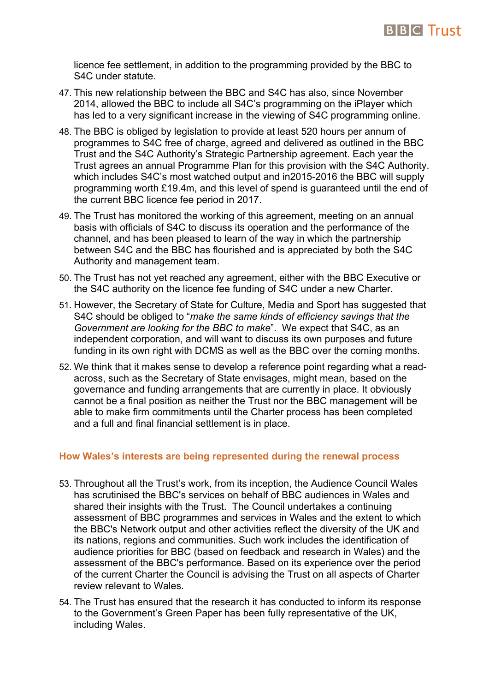

licence fee settlement, in addition to the programming provided by the BBC to S4C under statute.

- 47. This new relationship between the BBC and S4C has also, since November 2014, allowed the BBC to include all S4C's programming on the iPlayer which has led to a very significant increase in the viewing of S4C programming online.
- 48. The BBC is obliged by legislation to provide at least 520 hours per annum of programmes to S4C free of charge, agreed and delivered as outlined in the BBC Trust and the S4C Authority's Strategic Partnership agreement. Each year the Trust agrees an annual Programme Plan for this provision with the S4C Authority. which includes S4C's most watched output and in2015-2016 the BBC will supply programming worth £19.4m, and this level of spend is guaranteed until the end of the current BBC licence fee period in 2017.
- 49. The Trust has monitored the working of this agreement, meeting on an annual basis with officials of S4C to discuss its operation and the performance of the channel, and has been pleased to learn of the way in which the partnership between S4C and the BBC has flourished and is appreciated by both the S4C Authority and management team.
- 50. The Trust has not yet reached any agreement, either with the BBC Executive or the S4C authority on the licence fee funding of S4C under a new Charter.
- 51. However, the Secretary of State for Culture, Media and Sport has suggested that S4C should be obliged to "*make the same kinds of efficiency savings that the Government are looking for the BBC to make*". We expect that S4C, as an independent corporation, and will want to discuss its own purposes and future funding in its own right with DCMS as well as the BBC over the coming months.
- 52. We think that it makes sense to develop a reference point regarding what a readacross, such as the Secretary of State envisages, might mean, based on the governance and funding arrangements that are currently in place. It obviously cannot be a final position as neither the Trust nor the BBC management will be able to make firm commitments until the Charter process has been completed and a full and final financial settlement is in place.

#### **How Wales's interests are being represented during the renewal process**

- 53. Throughout all the Trust's work, from its inception, the Audience Council Wales has scrutinised the BBC's services on behalf of BBC audiences in Wales and shared their insights with the Trust. The Council undertakes a continuing assessment of BBC programmes and services in Wales and the extent to which the BBC's Network output and other activities reflect the diversity of the UK and its nations, regions and communities. Such work includes the identification of audience priorities for BBC (based on feedback and research in Wales) and the assessment of the BBC's performance. Based on its experience over the period of the current Charter the Council is advising the Trust on all aspects of Charter review relevant to Wales.
- 54. The Trust has ensured that the research it has conducted to inform its response to the Government's Green Paper has been fully representative of the UK, including Wales.